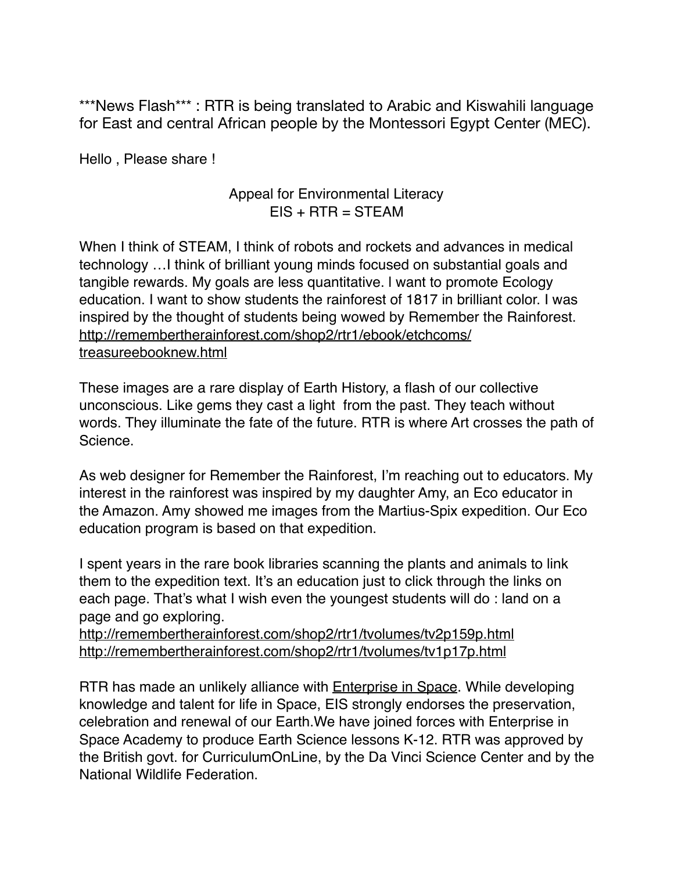\*\*\*News Flash\*\*\* : RTR is being translated to Arabic and Kiswahili language for East and central African people by the Montessori Egypt Center (MEC).

Hello , Please share !

## Appeal for Environmental Literacy  $EIS + RTR = STEAM$

When I think of STEAM, I think of robots and rockets and advances in medical technology …I think of brilliant young minds focused on substantial goals and tangible rewards. My goals are less quantitative. l want to promote Ecology education. I want to show students the rainforest of 1817 in brilliant color. I was inspired by the thought of students being wowed by Remember the Rainforest. [http://remembertherainforest.com/shop2/rtr1/ebook/etchcoms/](http://remembertherainforest.com/shop2/rtr1/ebook/etchcoms/treasureebooknew.html) treasureebooknew.html

These images are a rare display of Earth History, a flash of our collective unconscious. Like gems they cast a light from the past. They teach without words. They illuminate the fate of the future. RTR is where Art crosses the path of Science.

As web designer for Remember the Rainforest, I'm reaching out to educators. My interest in the rainforest was inspired by my daughter Amy, an Eco educator in the Amazon. Amy showed me images from the Martius-Spix expedition. Our Eco education program is based on that expedition.

I spent years in the rare book libraries scanning the plants and animals to link them to the expedition text. It's an education just to click through the links on each page. That's what I wish even the youngest students will do : land on a page and go exploring.

<http://remembertherainforest.com/shop2/rtr1/tvolumes/tv2p159p.html> <http://remembertherainforest.com/shop2/rtr1/tvolumes/tv1p17p.html>

RTR has made an unlikely alliance with [Enterprise in Space.](https://www.enterpriseinspace.org) While developing knowledge and talent for life in Space, EIS strongly endorses the preservation, celebration and renewal of our Earth.We have joined forces with Enterprise in Space Academy to produce Earth Science lessons K-12. RTR was approved by the British govt. for CurriculumOnLine, by the Da Vinci Science Center and by the National Wildlife Federation.